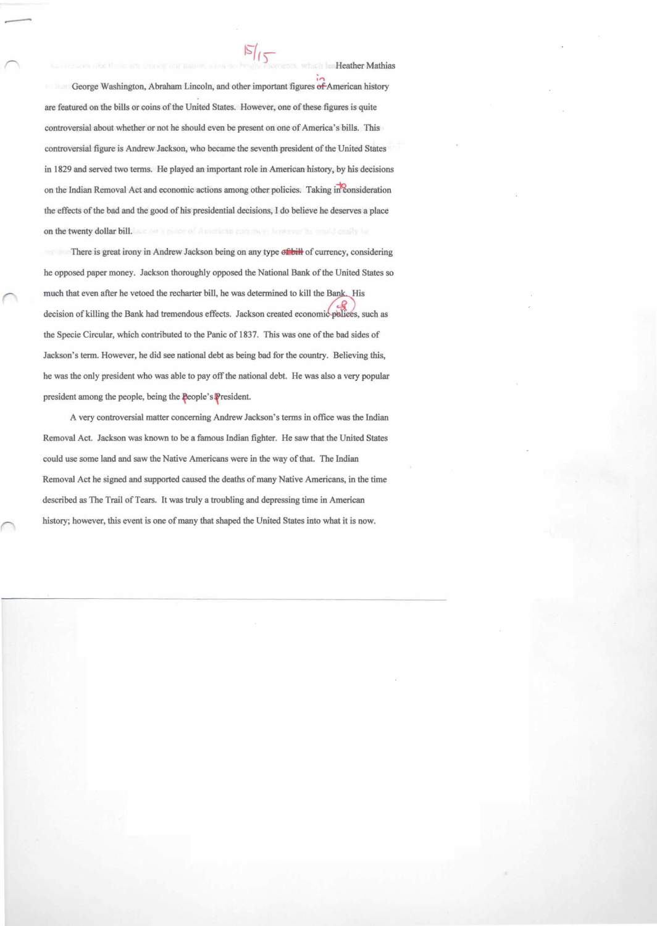George Washington, Abraham Lincoln, and other important figures of American history are featured on the bills or coins of the United States. However, one of these figures is quite controversial about whether or not he should even be present on one of America's bills. This controversial figure is Andrew Jackson, who became the seventh president of the United States in 1829 and served two terms. He played an important role in American history, by his decisions on the Indian Removal Act and economic actions among other policies. Taking in consideration the effects of the bad and the good of his presidential decisions. I do believe he deserves a place on the twenty dollar bill. We can appear of American concrete however he could ensity be

There is great irony in Andrew Jackson being on any type of bill of currency, considering he opposed paper money. Jackson thoroughly opposed the National Bank of the United States so much that even after he vetoed the recharter bill, he was determined to kill the Bank. His decision of killing the Bank had tremendous effects. Jackson created economic-polices, such as the Specie Circular, which contributed to the Panic of 1837. This was one of the bad sides of Jackson's term. However, he did see national debt as being bad for the country. Believing this, he was the only president who was able to payoff the national debt. He was also a very popular president among the people, being the People's President.

A very controversial matter concerning Andrew Jackson's terms in office was the Indian Removal Act. Jackson was known to be a famous Indian fighter. He saw that the United States could use some land and saw the Native Americans were in the way of that. The Indian Removal Act he signed and supported caused the deaths of many Native Americans, in the time described as The Trail of Tears. It was truly a troubling and depressing time in American history; however. this event is one of many that shaped the United States into what it is now.